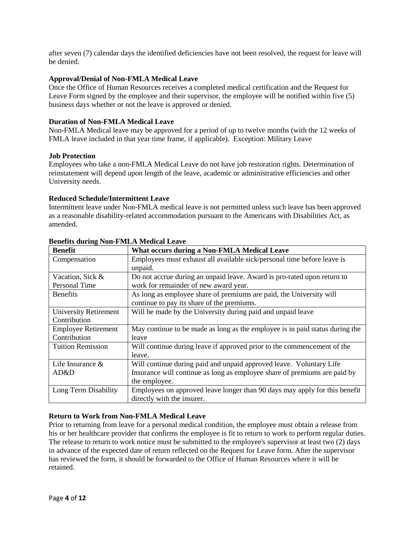after seven (7) calendar days the identified deficiencies have not been resolved, the request for leave will be denied.

### **Approval/Denial of Non-FMLA Medical Leave**

Once the Office of Human Resources receives a completed medical certification and the Request for Leave Form signed by the employee and their supervisor, the employee will be notified within five (5) business days whether or not the leave is approved or denied.

#### **Duration of Non-FMLA Medical Leave**

Non-FMLA Medical leave may be approved for a period of up to twelve months (with the 12 weeks of FMLA leave included in that year time frame, if applicable). Exception: Military Leave

#### **Job Protection**

Employees who take a non-FMLA Medical Leave do not have job restoration rights. Determination of reinstatement will depend upon length of the leave, academic or administrative efficiencies and other University needs.

#### **Reduced Schedule/Intermittent Leave**

Intermittent leave under Non-FMLA medical leave is not permitted unless such leave has been approved as a reasonable disability-related accommodation pursuant to the Americans with Disabilities Act, as amended.

| <b>Benefit</b>               | What occurs during a Non-FMLA Medical Leave                       |
|------------------------------|-------------------------------------------------------------------|
| Compensation                 | Employees must exhaust all available sick/personal time before    |
|                              | leave is unpaid.                                                  |
| Vacation, Sick &             | Do not accrue during an unpaid leave. Award is pro-rated upon     |
| <b>Personal Time</b>         | return to work for remainder of new award year.                   |
| <b>Benefits</b>              | As long as employee share of premiums are paid, the               |
|                              | University will continue to pay its share of the premiums.        |
| <b>University Retirement</b> | Will be made by the University during paid and unpaid leave       |
| Contribution                 |                                                                   |
| <b>Employee Retirement</b>   | May continue to be made as long as the employee is in paid status |
| Contribution                 | during the leave                                                  |
| <b>Tuition Remission</b>     | Will continue during leave if approved prior to the commencement  |
|                              | of the leave.                                                     |
| Life Insurance               | Will continue during paid and unpaid approved leave. Voluntary    |
| & AD&D                       | Life Insurance will continue as long as employee share of         |
|                              | premiums are paid by the employee.                                |
| Long Term Disability         | Employees on approved leave longer than 90 days may apply for     |
|                              | this benefit directly with the insurer.                           |

## **Benefits during Non-FMLA Medical Leave**

## **Return to Work from Non-FMLA Medical Leave**

Prior to returning from leave for a personal medical condition, the employee must obtain a release from his or her healthcare provider that confirms the employee is fit to return to work to perform regular duties. The release to return to work notice must be submitted to the employee's supervisor at least two (2) days in advance of the expected date of return reflected on the Request for Leave form. After the supervisor has reviewed the form, it should be forwarded to the Office of Human Resources where it will be retained.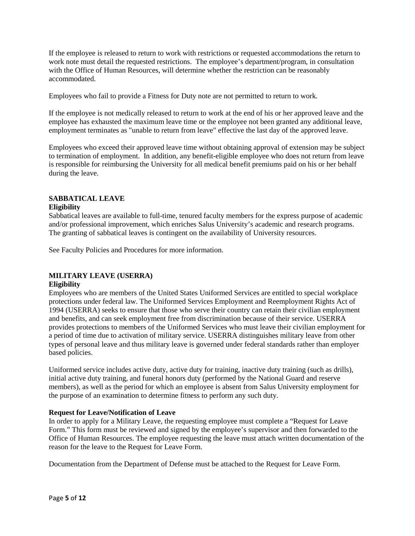If the employee is released to return to work with restrictions or requested accommodations the return to work note must detail the requested restrictions. The employee's department/ program, in consultation with the Office of Human Resources, will determine whether the restriction can be reasonably accommodated.

Employees who fail to provide a Fitness for Duty note are not permitted to return to work.

If the employee is not medically released to return to work at the end of his or her approved leave and the employee has exhausted the maximum leave time or the employee not been granted any additional leave, employment terminates as "unable to return from leave" effective the last day of the approved leave.

Employees who exceed their approved leave time without obtaining approval of extension may be subject to termination of employment. In addition, any benefit-eligible employee who does not return from leave is responsible for reimbursing the University for all medical benefit premiums paid on his or her behalf during the leave.

# **SABBATICAL LEAVE**

#### **Eligibility**

Sabbatical leaves are available to full-time, tenured faculty members for the express purpose of academic and/or professional improvement, which enriches Salus University's academic and research programs. The granting of sabbatical leaves is contingent on the availability of University resources.

See Faculty Policies and Procedures for more information.

# **MILITARY LEAVE (USERRA)**

#### **Eligibility**

Employees who are members of the United States Uniformed Services are entitled to special workplace protections under federal law. The Uniformed Services Employment and Reemployment Rights Act of 1994 (USERRA) seeks to ensure that those who serve their country can retain their civilian employment and benefits, and can seek employment free from discrimination because of their service. USERRA provides protections to members of the Uniformed Services who must leave their civilian employment for a period of time due to activation of military service. USERRA distinguishes military leave from other types of personal leave and thus military leave is governed under federal standards rather than employer based policies.

Uniformed service includes active duty, active duty for training, inactive duty training (such as drills), initial active duty training, and funeral honors duty (performed by the National Guard and reserve members), as well as the period for which an employee is absent from Salus University employment for the purpose of an examination to determine fitness to perform any such duty.

#### **Request for Leave/Notification of Leave**

In order to apply for a Military Leave, the requesting employee must complete a "Request for Leave Form." This form must be reviewed and signed by the employee's supervisor and then forwarded to the Office of Human Resources. The employee requesting the leave must attach written documentation of the reason for the leave to the Request for Leave Form.

Documentation from the Department of Defense must be attached to the Request for Leave Form.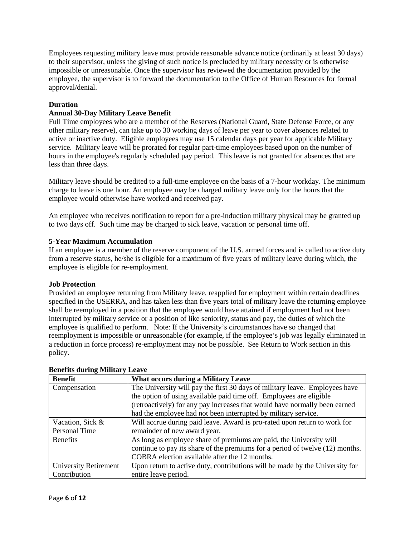Employees requesting military leave must provide reasonable advance notice (ordinarily at least 30 days) to their supervisor, unless the giving of such notice is precluded by military necessity or is otherwise impossible or unreasonable. Once the supervisor has reviewed the documentation provided by the employee, the supervisor is to forward the documentation to the Office of Human Resources for formal approval/denial.

## **Duration**

## **Annual 30-Day Military Leave Benefit**

Full Time employees who are a member of the Reserves (National Guard, State Defense Force, or any other military reserve), can take up to 30 working days of leave per year to cover absences related to active or inactive duty. Eligible employees may use 15 calendar days per year for applicable Military service. Military leave will be prorated for regular part-time employees based upon on the number of hours in the employee's regularly scheduled pay period. This leave is not granted for absences that are less than three days.

Military leave should be credited to a full-time employee on the basis of a 7-hour workday. The minimum charge to leave is one hour. An employee may be charged military leave only for the hours that the employee would otherwise have worked and received pay.

An employee who receives notification to report for a pre-induction military physical may be granted up to two days off. Such time may be charged to sick leave, vacation or personal time off.

## **5-Year Maximum Accumulation**

If an employee is a member of the reserve component of the U.S. armed forces and is called to active duty from a reserve status, he/she is eligible for a maximum of five years of military leave during which, the employee is eligible for re-employment.

## **Job Protection**

Provided an employee returning from Military leave, reapplied for employment within certain deadlines specified in the USERRA, and has taken less than five years total of military leave the returning employee shall be reemployed in a position that the employee would have attained if employment had not been interrupted by military service or a position of like seniority, status and pay, the duties of which the employee is qualified to perform. Note: If the University's circumstances have so changed that reemployment is impossible or unreasonable (for example, if the employee's job was legally eliminated in a reduction in force process) re-employment may not be possible. See Return to Work section in this policy.

| <b>Benefit</b>        | What occurs during a Military Leave                                      |
|-----------------------|--------------------------------------------------------------------------|
| Compensation          | The University will pay the first 30 days of military leave. Employees   |
|                       | have the option of using available paid time off. Employees are eligible |
|                       | (retroactively) for any pay increases that would have normally been      |
|                       | earned had the employee had not been interrupted by military service.    |
| Vacation, Sick &      | Will accrue during paid leave. Award is pro-rated upon return to         |
| <b>Personal Time</b>  | work for remainder of new award year.                                    |
| <b>Benefits</b>       | As long as employee share of premiums are paid, the University will      |
|                       | continue to pay its share of the premiums for a period of twelve (12)    |
|                       | months. COBRA election available after the 12 months.                    |
| University Retirement | Upon return to active duty, contributions will be made by the            |
| Contribution          | University for entire leave period.                                      |

## **Benefits during Military Leave**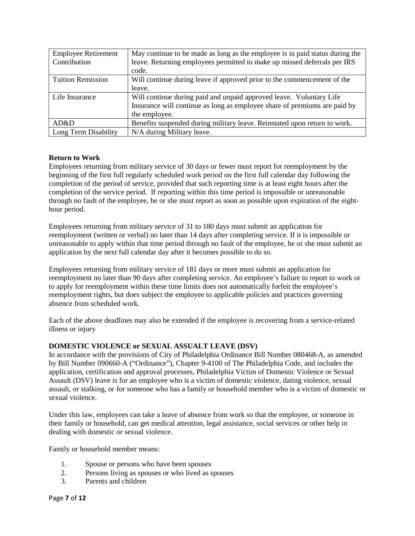| Contribution                | Employee Retirement   May continue to be made as long as the employee is in paid status<br>during the leave. Returning employees permitted to make up missed |
|-----------------------------|--------------------------------------------------------------------------------------------------------------------------------------------------------------|
|                             | deferrals per IRS code.                                                                                                                                      |
| <b>Tuition Remission</b>    | Will continue during leave if approved prior to the commencement                                                                                             |
|                             | of the leave.                                                                                                                                                |
| Life Insurance              | Will continue during paid and unpaid approved leave. Voluntary                                                                                               |
|                             | Life Insurance will continue as long as employee share of                                                                                                    |
|                             | premiums are paid by the employee.                                                                                                                           |
| AD&D                        | Benefits suspended during military leave. Reinstated upon return to work                                                                                     |
| <b>Long Term Disability</b> | N/A during Military leave.                                                                                                                                   |

## **Return to Work**

Employees returning from military service of 30 days or fewer must report for reemployment by the beginning of the first full regularly scheduled work period on the first full calendar day following the completion of the period of service, provided that such reporting time is at least eight hours after the completion of the service period. If reporting within this time period is impossible or unreasonable through no fault of the employee, he or she must report as soon as possible upon expiration of the eight-hour period.

Employees returning from military service of 31 to 180 days must submit an application for reemployment (written or verbal) no later than 14 days after completing service. If it is impossible or unreasonable to apply within that time period through no fault of the employee, he or she must submit an application by the next full calendar day after it becomes possible to do so.

Employees returning from military service of 181 days or more must submit an application for reemployment no later than 90 days after completing service. An employee's failure to report to work or to apply for reemployment within these time limits does not automatically forfeit the employee's reemployment rights, but does subject the employee to applicable policies and practices governing absence from scheduled work.

Each of the above deadlines may also be extended if the employee is recovering from a service-related illness or injury

# **DOMESTIC VIOLENCE or SEXUAL ASSUALT LEAVE (DSV)**

In accordance with the provisions of City of Philadelphia Ordinance Bill Number 080468-A, as amended by Bill Number 090660-A ("Ordinance"), Chapter 9-4100 of The Philadelphia Code, and includes the application, certification and approval processes, Philadelphia Victim of Domestic Violence or Sexual Assault (DSV) leave is for an employee who is a victim of domestic violence, dating violence, sexual assault, or stalking, or for someone who has a family or household member who is a victim of domestic or sexual violence.

Under this law, employees can take a leave of absence from work so that the employee, or someone in their family or household, can get medical attention, legal assistance, social services or other help in dealing with domestic or sexual violence.

Family or household member means:

- 1. Spouse or persons who have been spouses
- 2. Persons living as spouses or who lived as spouses
- 3. Parents and children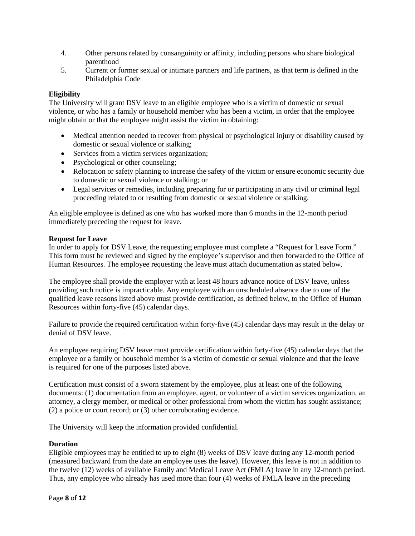- 4. Other persons related by consanguinity or affinity, including persons who share biological parenthood
- 5. Current or former sexual or intimate partners and life partners, as that term is defined in the Philadelphia Code

## **Eligibility**

The University will grant DSV leave to an eligible employee who is a victim of domestic or sexual violence, or who has a family or household member who has been a victim, in order that the employee might obtain or that the employee might assist the victim in obtaining:

- Medical attention needed to recover from physical or psychological injury or disability caused by domestic or sexual violence or stalking;
- Services from a victim services organization;
- Psychological or other counseling;
- Relocation or safety planning to increase the safety of the victim or ensure economic security due to domestic or sexual violence or stalking; or
- Legal services or remedies, including preparing for or participating in any civil or criminal legal proceeding related to or resulting from domestic or sexual violence or stalking.

An eligible employee is defined as one who has worked more than 6 months in the 12-month period immediately preceding the request for leave.

#### **Request for Leave**

In order to apply for DSV Leave, the requesting employee must complete a "Request for Leave Form." This form must be reviewed and signed by the employee's supervisor and then forwarded to the Office of Human Resources. The employee requesting the leave must attach documentation as stated below.

The employee shall provide the employer with at least 48 hours advance notice of DSV leave, unless providing such notice is impracticable. Any employee with an unscheduled absence due to one of the qualified leave reasons listed above must provide certification, as defined below, to the Office of Human Resources within forty-five (45) calendar days.

Failure to provide the required certification within forty-five (45) calendar days may result in the delay or denial of DSV leave.

An employee requiring DSV leave must provide certification within forty-five (45) calendar days that the employee or a family or household member is a victim of domestic or sexual violence and that the leave is required for one of the purposes listed above.

Certification must consist of a sworn statement by the employee, plus at least one of the following documents: (1) documentation from an employee, agent, or volunteer of a victim services organization, an attorney, a clergy member, or medical or other professional from whom the victim has sought assistance; (2) a police or court record; or (3) other corroborating evidence.

The University will keep the information provided confidential.

## **Duration**

Eligible employees may be entitled to up to eight (8) weeks of DSV leave during any 12-month period

(measured backward from the date an employee uses the leave). However, this leave is not in addition to the twelve (12) weeks of available Family and Medical Leave Act (FMLA) leave in any 12-month period. Thus, any employee who already has used more than four (4) weeks of FMLA leave in the preceding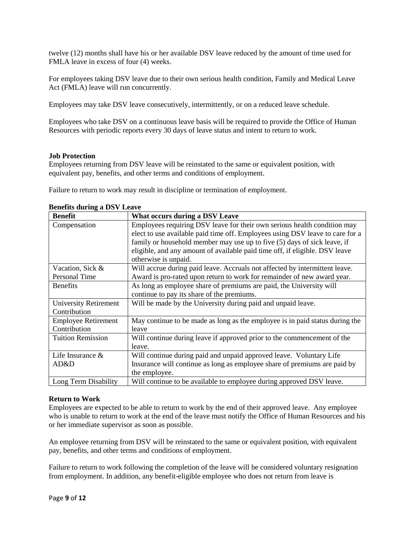twelve (12) months shall have his or her available DSV leave reduced by the amount of time used for FMLA leave in excess of four (4) weeks.

For employees taking DSV leave due to their own serious health condition, Family and Medical Leave Act (FMLA) leave will run concurrently.

Employees may take DSV leave consecutively, intermittently, or on a reduced leave schedule.

Employees who take DSV on a continuous leave basis will be required to provide the Office of Human Resources with periodic reports every 30 days of leave status and intent to return to work.

## **Job Protection**

Employees returning from DSV leave will be reinstated to the same or equivalent position, with equivalent pay, benefits, and other terms and conditions of employment.

Failure to return to work may result in discipline or termination of employment.

| <b>Benefit</b>               | What occurs during a DSV Leave                                            |
|------------------------------|---------------------------------------------------------------------------|
| Compensation                 | Employees requiring DSV leave for their own serious health condition      |
|                              | may elect to use available paid time off. Employees using DSV leave       |
|                              | to care for a family or household member may use up to five (5) days      |
|                              | of sick leave, if eligible, and any amount of available paid time off, if |
|                              | eligible. DSV leave otherwise is unpaid.                                  |
| Vacation, Sick &             | Will accrue during paid leave. Accruals not affected by intermittent      |
| <b>Personal Time</b>         | leave. Award is pro-rated upon return to work for remainder of new        |
| <b>Benefits</b>              | Aw and year employee share of premiums are paid, the                      |
|                              | University will continue to pay its share of the premiums.                |
| <b>University Retirement</b> | Will be made by the University during paid and unpaid leave.              |
| Contribution                 |                                                                           |
| <b>Employee Retirement</b>   | May continue to be made as long as the employee is in paid status         |
| Contribution                 | during the leave                                                          |
| <b>Tuition Remission</b>     | Will continue during leave if approved prior to the commencement          |
|                              | of the leave.                                                             |
| Life Insurance               | Will continue during paid and unpaid approved leave. Voluntary            |
| & AD&D                       | Life Insurance will continue as long as employee share of                 |
|                              | premiums are paid by the employee.                                        |
| Long Term Disability         | Will continue to be available to employee during approved DSV leave.      |

## **Benefits during a DSV Leave**

## **Return to Work**

Employees are expected to be able to return to work by the end of their approved leave. Any employee who is unable to return to work at the end of the leave must notify the Office of Human Resources and his or her immediate supervisor as soon as possible.

An employee returning from DSV will be reinstated to the same or equivalent position, with equivalent pay, benefits, and other terms and conditions of employment.

Failure to return to work following the completion of the leave will be considered voluntary resignation from employment. In addition, any benefit-eligible employee who does not return from leave is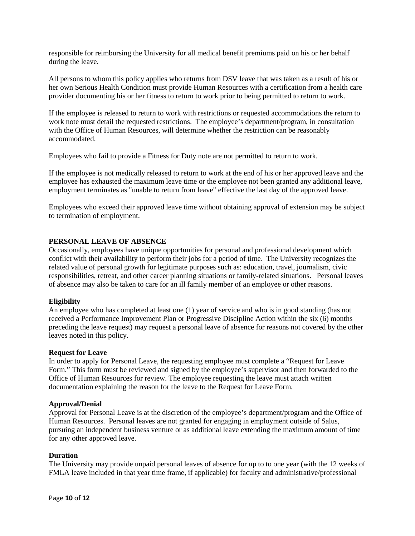responsible for reimbursing the University for all medical benefit premiums paid on his or her behalf during the leave.

All persons to whom this policy applies who returns from DSV leave that was taken as a result of his or her own Serious Health Condition must provide Human Resources with a certification from a health care provider documenting his or her fitness to return to work prior to being permitted to return to work.

If the employee is released to return to work with restrictions or requested accommodations the return to work note must detail the requested restrictions. The employee's department/ program, in consultation with the Office of Human Resources, will determine whether the restriction can be reasonably accommodated.

Employees who fail to provide a Fitness for Duty note are not permitted to return to work.

If the employee is not medically released to return to work at the end of his or her approved leave and the employee has exhausted the maximum leave time or the employee not been granted any additional leave, employment terminates as "unable to return from leave" effective the last day of the approved leave.

Employees who exceed their approved leave time without obtaining approval of extension may be subject to termination of employment.

#### **PERSONAL LEAVE OF ABSENCE**

Occasionally, employees have unique opportunities for personal and professional development which conflict with their availability to perform their jobs for a period of time. The University recognizes the related value of personal growth for legitimate purposes such as: education, travel, journalism, civic responsibilities, retreat, and other career planning situations or familyrelated situations. Personal leaves of absence may also be taken to care for an ill family member of an employee or other reasons.

#### **Eligibility**

An employee who has completed at least one (1) year of service and who is in good standing (has not received a Performance Improvement Plan or Progressive Discipline Action within the six (6) months preceding the leave request) may request a personal leave of absence for reasons not covered by the other leaves noted in this policy.

#### **Request for Leave**

In order to apply for Personal Leave, the requesting employee must complete a "Request for Leave Form." This form must be reviewed and signed by the employee's supervisor and then forwarded to the Office of Human Resources for review. The employee requesting the leave must attach written documentation explaining the reason for the leave to the Request for Leave Form.

#### **Approval/Denial**

Approval for Personal Leave is at the discretion of the employee's department/program and the Office of Human Resources. Personal leaves are not granted for engaging in employment outside of Salus, pursuing an independent business venture or as additional leave extending the maximum amount of time for any other approved leave.

#### **Duration**

The University may provide unpaid personal leaves of absence for up to to one year (with the 12 weeks of FMLA leave included in that year time frame, if applicable) for faculty and administrative/professional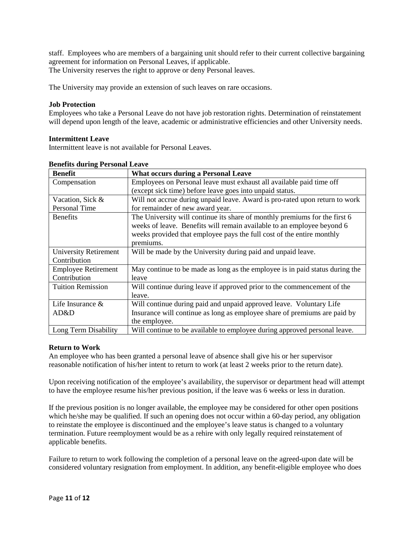staff. Employees who are members of a bargaining unit should refer to their current collective bargaining agreement for information on Personal Leaves, if applicable. The University reserves the right to approve or deny Personal leaves.

The University may provide an extension of such leaves on rare occasions.

### **Job Protection**

Employees who take a Personal Leave do not have job restoration rights. Determination of reinstatement will depend upon length of the leave, academic or administrative efficiencies and other University needs.

#### **Intermittent Leave**

Intermittent leave is not available for Personal Leaves.

| <b>Benefit</b>               | <b>What occurs during a Personal Leave</b>                                |
|------------------------------|---------------------------------------------------------------------------|
| Compensation                 | Employees on Personal leave must exhaust all available paid               |
|                              | time off (except sick time) before leave goes into unpaid                 |
| Vacation, Sick &             | Waltured accrue during unpaid leave. Award is pro-rated upon return       |
| <b>Personal Time</b>         | to work for remainder of new award year.                                  |
| <b>Benefits</b>              | The University will continue its share of monthly premiums for the        |
|                              | first 6 weeks of leave. Benefits will remain available to an              |
|                              | employee beyond 6 weeks provided that employee pays the full              |
|                              | cost of the entire monthly premiums.                                      |
| <b>University Retirement</b> | Will be made by the University during paid and unpaid leave.              |
| Contribution                 |                                                                           |
| <b>Employee Retirement</b>   | May continue to be made as long as the employee is in paid status         |
| Contribution                 | during the leave                                                          |
| <b>Tuition Remission</b>     | Will continue during leave if approved prior to the commencement          |
|                              | of the leave.                                                             |
| Life Insurance               | Will continue during paid and unpaid approved leave. Voluntary            |
| & AD&D                       | Life Insurance will continue as long as employee share of                 |
|                              | premiums are paid by the employee.                                        |
| Long Term Disability         | Will continue to be available to employee during approved personal leave. |

#### **Benefits during Personal Leave**

## **Return to Work**

An employee who has been granted a personal leave of absence shall give his or her supervisor reasonable notification of his/her intent to return to work (at least 2 weeks prior to the return date).

Upon receiving notification of the employee's availability, the supervisor or department head will attempt to have the employee resume his/her previous position, if the leave was 6 weeks or less in duration.

If the previous position is no longer available, the employee may be considered for other open positions which he/she may be qualified. If such an opening does not occur within a 60-day period, any obligation to reinstate the employee is discontinued and the employee's leave status is changed to a voluntary termination. Future reemployment would be as a rehire with only legally required reinstatement of applicable benefits.

Failure to return to work following the completion of a personal leave on the agreed-upon date will be considered voluntary resignation from employment. In addition, any benefit-eligible employee who does